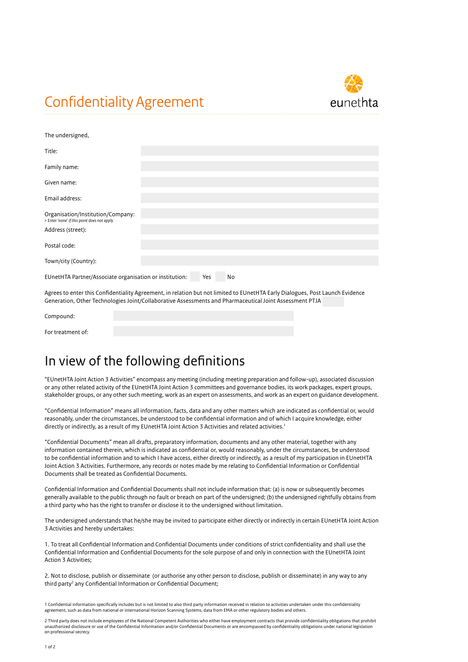## Confidentiality Agreement



| The undersigned,                                                                 |  |  |  |  |  |
|----------------------------------------------------------------------------------|--|--|--|--|--|
| Title:                                                                           |  |  |  |  |  |
| Family name:                                                                     |  |  |  |  |  |
| Given name:                                                                      |  |  |  |  |  |
| Email address:                                                                   |  |  |  |  |  |
| Organisation/Institution/Company:<br>> Enter 'none' if this point does not apply |  |  |  |  |  |
| Address (street):                                                                |  |  |  |  |  |
| Postal code:                                                                     |  |  |  |  |  |
| Town/city (Country):                                                             |  |  |  |  |  |
| EUnetHTA Partner/Associate organisation or institution:<br>Yes<br>No             |  |  |  |  |  |
|                                                                                  |  |  |  |  |  |

Agrees to enter this Confidentiality Agreement, in relation but not limited to EUnetHTA Early Dialogues, Post Launch Evidence Generation, Other Technologies Joint/Collaborative Assessments and Pharmaceutical Joint Assessment PTJA

## In view of the following definitions

"EUnetHTA Joint Action 3 Activities" encompass any meeting (including meeting preparation and follow-up), associated discussion or any other related activity of the EUnetHTA Joint Action 3 committees and governance bodies, its work packages, expert groups, stakeholder groups, or any other such meeting, work as an expert on assessments, and work as an expert on guidance development.

"Confidential Information" means all information, facts, data and any other matters which are indicated as confidential or, would reasonably, under the circumstances, be understood to be confidential information and of which I acquire knowledge, either directly or indirectly, as a result of my EUnetHTA Joint Action 3 Activities and related activities.<sup>1</sup>

"Confidential Documents" mean all drafts, preparatory information, documents and any other material, together with any information contained therein, which is indicated as confidential or, would reasonably, under the circumstances, be understood to be confidential information and to which I have access, either directly or indirectly, as a result of my participation in EUnetHTA Joint Action 3 Activities. Furthermore, any records or notes made by me relating to Confidential Information or Confidential Documents shall be treated as Confidential Documents.

Confidential Information and Confidential Documents shall not include information that: (a) is now or subsequently becomes generally available to the public through no fault or breach on part of the undersigned; (b) the undersigned rightfully obtains from a third party who has the right to transfer or disclose it to the undersigned without limitation.

The undersigned understands that he/she may be invited to participate either directly or indirectly in certain EUnetHTA Joint Action 3 Activities and hereby undertakes:

1. To treat all Confidential Information and Confidential Documents under conditions of strict confidentiality and shall use the Confidential Information and Confidential Documents for the sole purpose of and only in connection with the EUnetHTA Joint Action 3 Activities;

2. Not to disclose, publish or disseminate (or authorise any other person to disclose, publish or disseminate) in any way to any third party<sup>2</sup> any Confidential Information or Confidential Document;

1 Confidential information specifically includes but is not limited to also third party information received in relation to activities undertaken under this confidentiality agreement, such as data from national or international Horizon Scanning Systems, data from EMA or other regulatory bodies and others.

2 Third party does not include employees of the National Competent Authorities who either have employment contracts that provide confidentiality obligations that prohibit unauthorized disclosure or use of the Confidential Information and/or Confidential Documents or are encompassed by confidentiality obligations under national legislation on professional secrecy.